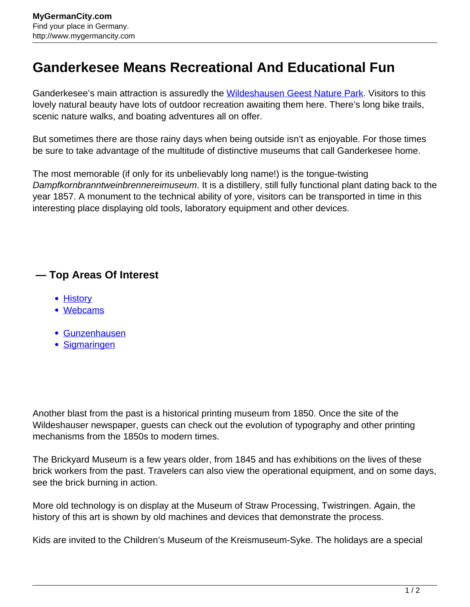## **Ganderkesee Means Recreational And Educational Fun**

Ganderkesee's main attraction is assuredly the [Wildeshausen Geest Nature Park](http://www.mygermancity.com/wildeshausen-geest). Visitors to this lovely natural beauty have lots of outdoor recreation awaiting them here. There's long bike trails, scenic nature walks, and boating adventures all on offer.

But sometimes there are those rainy days when being outside isn't as enjoyable. For those times be sure to take advantage of the multitude of distinctive museums that call Ganderkesee home.

The most memorable (if only for its unbelievably long name!) is the tongue-twisting Dampfkornbranntweinbrennereimuseum. It is a distillery, still fully functional plant dating back to the year 1857. A monument to the technical ability of yore, visitors can be transported in time in this interesting place displaying old tools, laboratory equipment and other devices.

## **— Top Areas Of Interest**

- [History](http://www.mygermancity.com/leipzig-history)
- [Webcams](http://www.mygermancity.com/neustadt-holstein-webcams)
- [Gunzenhausen](http://www.mygermancity.com/gunzenhausen)
- [Sigmaringen](http://www.mygermancity.com/sigmaringen)

Another blast from the past is a historical printing museum from 1850. Once the site of the Wildeshauser newspaper, guests can check out the evolution of typography and other printing mechanisms from the 1850s to modern times.

The Brickyard Museum is a few years older, from 1845 and has exhibitions on the lives of these brick workers from the past. Travelers can also view the operational equipment, and on some days, see the brick burning in action.

More old technology is on display at the Museum of Straw Processing, Twistringen. Again, the history of this art is shown by old machines and devices that demonstrate the process.

Kids are invited to the Children's Museum of the Kreismuseum-Syke. The holidays are a special